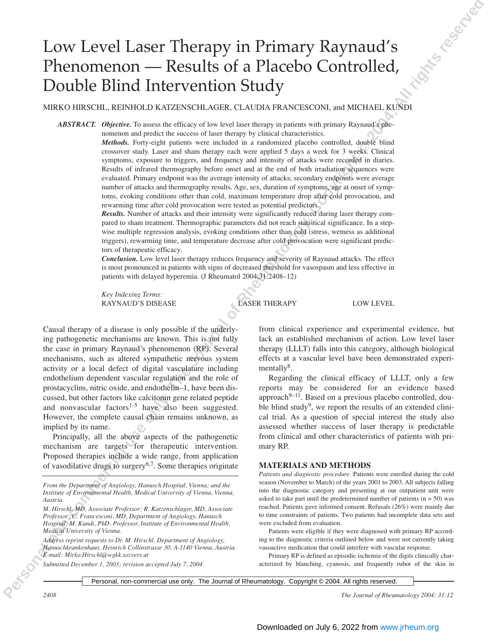# Low Level Laser Therapy in Primary Raynaud's Phenomenon — Results of a Placebo Controlled, Double Blind Intervention Study

MIRKO HIRSCHL, REINHOLD KATZENSCHLAGER, CLAUDIA FRANCESCONI, and MICHAEL KUNDI

*ABSTRACT. Objective.* To assess the efficacy of low level laser therapy in patients with primary Raynaud's phenomenon and predict the success of laser therapy by clinical characteristics.

**Personal non-commercial users of Personal interaction in the United States of Personal interaction in the United States of Reserved Association in the United States of Reserved Association in the United States of Reserve** *Methods.* Forty-eight patients were included in a randomized placebo controlled, double blind crossover study. Laser and sham therapy each were applied 5 days a week for 3 weeks. Clinical symptoms, exposure to triggers, and frequency and intensity of attacks were recorded in diaries. Results of infrared thermography before onset and at the end of both irradiation sequences were evaluated. Primary endpoint was the average intensity of attacks; secondary endpoints were average number of attacks and thermography results. Age, sex, duration of symptoms, age at onset of symptoms, evoking conditions other than cold, maximum temperature drop after cold provocation, and rewarming time after cold provocation were tested as potential predictors.

*Results.* Number of attacks and their intensity were significantly reduced during laser therapy compared to sham treatment. Thermographic parameters did not reach statistical significance. In a stepwise multiple regression analysis, evoking conditions other than cold (stress, wetness as additional triggers), rewarming time, and temperature decrease after cold provocation were significant predictors of therapeutic efficacy.

*Conclusion.* Low level laser therapy reduces frequency and severity of Raynaud attacks. The effect is most pronounced in patients with signs of decreased threshold for vasospasm and less effective in patients with delayed hyperemia. (J Rheumatol 2004;31:2408–12)

*Key Indexing Terms:* RAYNAUD'S DISEASE LASER THERAPY LOW LEVEL

Causal therapy of a disease is only possible if the underlying pathogenetic mechanisms are known. This is not fully the case in primary Raynaud's phenomenon (RP). Several mechanisms, such as altered sympathetic nervous system activity or a local defect of digital vasculature including endothelium dependent vascular regulation and the role of prostacyclins, nitric oxide, and endothelin–1, have been discussed, but other factors like calcitonin gene related peptide and nonvascular factors $1-5$  have also been suggested. However, the complete causal chain remains unknown, as implied by its name.

Principally, all the above aspects of the pathogenetic mechanism are targets for therapeutic intervention. Proposed therapies include a wide range, from application of vasodilative drugs to surgery<sup>6,7</sup>. Some therapies originate

*From the Department of Angiology, Hanusch Hospital, Vienna; and the Institute of Environmental Health, Medical University of Vienna, Vienna, Austria.*

*M. Hirschl, MD, Associate Professor; R. Katzenschlager, MD, Associate Professor; C. Francesconi, MD, Department of Angiology, Hanusch Hospital; M. Kundi, PhD, Professor, Institute of Environmental Health, Medical University of Vienna.*

*Address reprint requests to Dr. M. Hirschl, Department of Angiology, Hanuschkrankenhaus, Heinrich Collinstrasse 30, A-1140 Vienna, Austria. E-mail: Mirko.Hirschl@wgkk.sozvers.at*

*Submitted December 1, 2003; revision accepted July 7, 2004.*

from clinical experience and experimental evidence, but lack an established mechanism of action. Low level laser therapy (LLLT) falls into this category, although biological effects at a vascular level have been demonstrated experimentall $v^8$ .

Regarding the clinical efficacy of LLLT, only a few reports may be considered for an evidence based approach $9-11$ . Based on a previous placebo controlled, double blind study<sup>9</sup>, we report the results of an extended clinical trial. As a question of special interest the study also assessed whether success of laser therapy is predictable from clinical and other characteristics of patients with primary RP.

#### **MATERIALS AND METHODS**

*Patients and diagnostic procedure.* Patients were enrolled during the cold season (November to March) of the years 2001 to 2003. All subjects falling into the diagnostic category and presenting at our outpatient unit were asked to take part until the predetermined number of patients  $(n = 50)$  was reached. Patients gave informed consent. Refusals (26%) were mainly due to time constraints of patients. Two patients had incomplete data sets and were excluded from evaluation.

Patients were eligible if they were diagnosed with primary RP according to the diagnostic criteria outlined below and were not currently taking vasoactive medication that could interfere with vascular response.

Primary RP is defined as episodic ischemia of the digits clinically characterized by blanching, cyanosis, and frequently rubor of the skin in

Personal, non-commercial use only. The Journal of Rheumatology. Copyright © 2004. All rights reserved.

*2408 The Journal of Rheumatology 2004; 31:12*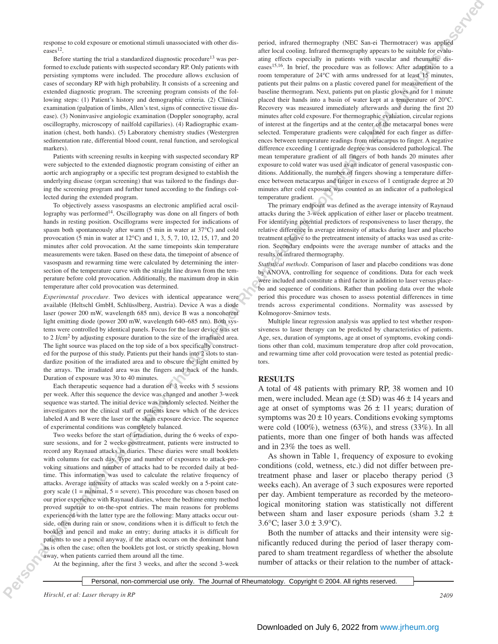response to cold exposure or emotional stimuli unassociated with other diseases<sup>12</sup>.

Before starting the trial a standardized diagnostic procedure<sup>13</sup> was performed to exclude patients with suspected secondary RP. Only patients with persisting symptoms were included. The procedure allows exclusion of cases of secondary RP with high probability. It consists of a screening and extended diagnostic program. The screening program consists of the following steps: (1) Patient's history and demographic criteria. (2) Clinical examination (palpation of limbs, Allen's test, signs of connective tissue disease). (3) Noninvasive angiologic examination (Doppler sonography, acral oscillography, microscopy of nailfold capillaries). (4) Radiographic examination (chest, both hands). (5) Laboratory chemistry studies (Westergren sedimentation rate, differential blood count, renal function, and serological markers).

Patients with screening results in keeping with suspected secondary RP were subjected to the extended diagnostic program consisting of either an aortic arch angiography or a specific test program designed to establish the underlying disease (organ screening) that was tailored to the findings during the screening program and further tuned according to the findings collected during the extended program.

To objectively assess vasospasms an electronic amplified acral oscillography was performed<sup>14</sup>. Oscillography was done on all fingers of both hands in resting position. Oscillograms were inspected for indications of spasm both spontaneously after warm (5 min in water at 37°C) and cold provocation (5 min in water at 12°C) and 1, 3, 5, 7, 10, 12, 15, 17, and 20 minutes after cold provocation. At the same timepoints skin temperature measurements were taken. Based on these data, the timepoint of absence of vasospasm and rewarming time were calculated by determining the intersection of the temperature curve with the straight line drawn from the temperature before cold provocation. Additionally, the maximum drop in skin temperature after cold provocation was determined.

*Experimental procedure.* Two devices with identical appearance were available (Heltschl GmbH, Schlüsslberg, Austria). Device A was a diode laser (power 200 mW, wavelength 685 nm), device B was a noncoherent light emitting diode (power 200 mW, wavelength 640–685 nm). Both systems were controlled by identical panels. Focus for the laser device was set to 2 J/cm<sup>2</sup> by adjusting exposure duration to the size of the irradiated area. The light source was placed on the top side of a box specifically constructed for the purpose of this study. Patients put their hands into 2 slots to standardize position of the irradiated area and to obscure the light emitted by the arrays. The irradiated area was the fingers and back of the hands. Duration of exposure was 30 to 40 minutes.

Each therapeutic sequence had a duration of 3 weeks with 5 sessions per week. After this sequence the device was changed and another 3-week sequence was started. The initial device was randomly selected. Neither the investigators nor the clinical staff or patients knew which of the devices labeled A and B were the laser or the sham exposure device. The sequence of experimental conditions was completely balanced.

Two weeks before the start of irradiation, during the 6 weeks of exposure sessions, and for 2 weeks posttreatment, patients were instructed to record any Raynaud attacks in diaries. These diaries were small booklets with columns for each day. Type and number of exposures to attack-provoking situations and number of attacks had to be recorded daily at bedtime. This information was used to calculate the relative frequency of attacks. Average intensity of attacks was scaled weekly on a 5-point category scale  $(1 = \text{minimal}, 5 = \text{severe})$ . This procedure was chosen based on our prior experience with Raynaud diaries, where the bedtime entry method proved superior to on-the-spot entries. The main reasons for problems experienced with the latter type are the following: Many attacks occur outside, often during rain or snow, conditions when it is difficult to fetch the booklet and pencil and make an entry; during attacks it is difficult for patients to use a pencil anyway, if the attack occurs on the dominant hand as is often the case; often the booklets got lost, or strictly speaking, blown away, when patients carried them around all the time.

At the beginning, after the first 3 weeks, and after the second 3-week

**Personal non-commercial non-commercial use on the Journal of Rheumatology. The Journal of Rheumatology in the Vertex Commercial Users in the Vertex Commercial Users in the Vertex Commercial Users in the Vertex Commercial** period, infrared thermography (NEC San-ei Thermotracer) was applied after local cooling. Infrared thermography appears to be suitable for evaluating effects especially in patients with vascular and rheumatic diseases15,16. In brief, the procedure was as follows: After adaptation to a room temperature of 24°C with arms undressed for at least 15 minutes, patients put their palms on a plastic covered panel for measurement of the baseline thermogram. Next, patients put on plastic gloves and for 1 minute placed their hands into a basin of water kept at a temperature of 20°C. Recovery was measured immediately afterwards and during the first 20 minutes after cold exposure. For thermographic evaluation, circular regions of interest at the fingertips and at the center of the metacarpal bones were selected. Temperature gradients were calculated for each finger as differences between temperature readings from metacarpus to finger. A negative difference exceeding 1 centigrade degree was considered pathological. The mean temperature gradient of all fingers of both hands 20 minutes after exposure to cold water was used as an indicator of general vasospastic conditions. Additionally, the number of fingers showing a temperature difference between metacarpus and finger in excess of 1 centigrade degree at 20 minutes after cold exposure was counted as an indicator of a pathological temperature gradient.

The primary endpoint was defined as the average intensity of Raynaud attacks during the 3-week application of either laser or placebo treatment. For identifying potential predictors of responsiveness to laser therapy, the relative difference in average intensity of attacks during laser and placebo treatment relative to the pretreatment intensity of attacks was used as criterion. Secondary endpoints were the average number of attacks and the results of infrared thermography.

*Statistical methods.* Comparison of laser and placebo conditions was done by ANOVA, controlling for sequence of conditions. Data for each week were included and constitute a third factor in addition to laser versus placebo and sequence of conditions. Rather than pooling data over the whole period this procedure was chosen to assess potential differences in time trends across experimental conditions. Normality was assessed by Kolmogorov-Smirnov tests.

Multiple linear regression analysis was applied to test whether responsiveness to laser therapy can be predicted by characteristics of patients. Age, sex, duration of symptoms, age at onset of symptoms, evoking conditions other than cold, maximum temperature drop after cold provocation, and rewarming time after cold provocation were tested as potential predictors.

#### **RESULTS**

A total of 48 patients with primary RP, 38 women and 10 men, were included. Mean age  $(\pm SD)$  was  $46 \pm 14$  years and age at onset of symptoms was  $26 \pm 11$  years; duration of symptoms was  $20 \pm 10$  years. Conditions evoking symptoms were cold (100%), wetness (63%), and stress (33%). In all patients, more than one finger of both hands was affected and in 23% the toes as well.

As shown in Table 1, frequency of exposure to evoking conditions (cold, wetness, etc.) did not differ between pretreatment phase and laser or placebo therapy period (3 weeks each). An average of 3 such exposures were reported per day. Ambient temperature as recorded by the meteorological monitoring station was statistically not different between sham and laser exposure periods (sham 3.2 ± 3.6 $\textdegree$ C; laser 3.0  $\pm$  3.9 $\textdegree$ C).

Both the number of attacks and their intensity were significantly reduced during the period of laser therapy compared to sham treatment regardless of whether the absolute number of attacks or their relation to the number of attack-

Personal, non-commercial use only. The Journal of Rheumatology. Copyright © 2004. All rights reserved.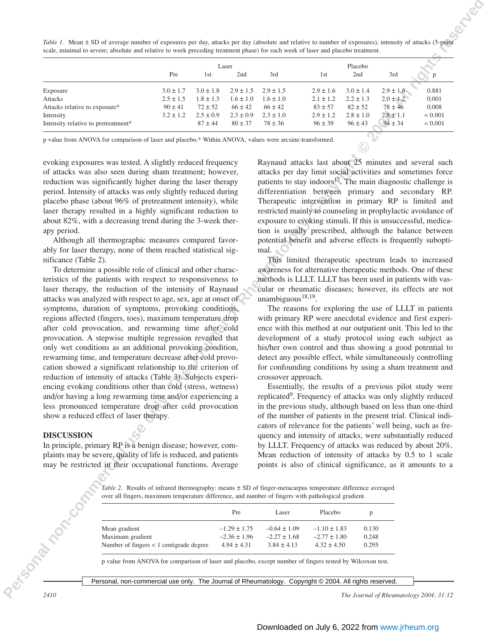*Table 1.* Mean  $\pm$  SD of average number of exposures per day, attacks per day (absolute and relative to number of exposures), intensity of attacks (5-point scale, minimal to severe; absolute and relative to week preceding treatment phase) for each week of laser and placebo treatment.

|                                                                                                                                                                                             | Pre                                                                                                                                                                                                                   | 1st                          | Laser<br>2nd                        | 3rd                                                                                                                              | 1st                                 | Placebo<br>2nd               | 3rd                                                     | p                  |
|---------------------------------------------------------------------------------------------------------------------------------------------------------------------------------------------|-----------------------------------------------------------------------------------------------------------------------------------------------------------------------------------------------------------------------|------------------------------|-------------------------------------|----------------------------------------------------------------------------------------------------------------------------------|-------------------------------------|------------------------------|---------------------------------------------------------|--------------------|
| Exposure                                                                                                                                                                                    | $3.0 \pm 1.7$                                                                                                                                                                                                         | $3.0 \pm 1.8$                | $2.9 \pm 1.5$                       | $2.9 \pm 1.5$                                                                                                                    | $2.9 \pm 1.6$                       | $3.0 \pm 1.4$                | $2.9 \pm 1.6$                                           | 0.881              |
| Attacks                                                                                                                                                                                     | $2.5 \pm 1.5$                                                                                                                                                                                                         | $1.8 \pm 1.3$                | $1.6 \pm 1.0$                       | $1.6 \pm 1.0$                                                                                                                    | $2.1 \pm 1.2$                       | $2.2 \pm 1.3$                | $2.0 \pm 1.2$                                           | 0.001              |
| Attacks relative to exposure*                                                                                                                                                               | $90\pm41$                                                                                                                                                                                                             | $72 \pm 52$                  | $66 \pm 42$                         | $66 \pm 42$                                                                                                                      | $83 \pm 57$                         | $82 \pm 52$                  | $78 \pm 46$                                             | 0.008              |
| Intensity<br>Intensity relative to pretreatment*                                                                                                                                            | $3.2 \pm 1.2$                                                                                                                                                                                                         | $2.5 \pm 0.9$<br>$87 \pm 44$ | $2.3 \pm 0.9$<br>$80 \pm 37$        | $2.3 \pm 1.0$<br>$78 \pm 36$                                                                                                     | $2.9 \pm 1.2$<br>$96 \pm 39$        | $2.8 \pm 1.0$<br>$96 \pm 43$ | $2.8 \pm 1.1$<br>$94 \pm 34$                            | < 0.001<br>< 0.001 |
|                                                                                                                                                                                             |                                                                                                                                                                                                                       |                              |                                     |                                                                                                                                  |                                     |                              |                                                         |                    |
| p value from ANOVA for comparison of laser and placebo.* Within ANOVA, values were arcsine-transformed.                                                                                     |                                                                                                                                                                                                                       |                              |                                     |                                                                                                                                  |                                     |                              |                                                         |                    |
| evoking exposures was tested. A slightly reduced frequency                                                                                                                                  |                                                                                                                                                                                                                       |                              |                                     | Raynaud attacks last about 25 minutes and several such                                                                           |                                     |                              |                                                         |                    |
| of attacks was also seen during sham treatment; however,                                                                                                                                    |                                                                                                                                                                                                                       |                              |                                     | attacks per day limit social activities and sometimes force                                                                      |                                     |                              |                                                         |                    |
| reduction was significantly higher during the laser therapy                                                                                                                                 |                                                                                                                                                                                                                       |                              |                                     | patients to stay indoors <sup>17</sup> . The main diagnostic challenge is                                                        |                                     |                              |                                                         |                    |
| period. Intensity of attacks was only slightly reduced during                                                                                                                               |                                                                                                                                                                                                                       |                              |                                     | differentiation between primary and secondary RP.                                                                                |                                     |                              |                                                         |                    |
| placebo phase (about 96% of pretreatment intensity), while                                                                                                                                  |                                                                                                                                                                                                                       |                              |                                     | Therapeutic intervention in primary RP is limited and                                                                            |                                     |                              |                                                         |                    |
| laser therapy resulted in a highly significant reduction to                                                                                                                                 |                                                                                                                                                                                                                       |                              |                                     |                                                                                                                                  |                                     |                              |                                                         |                    |
| restricted mainly to counseling in prophylactic avoidance of<br>about 82%, with a decreasing trend during the 3-week ther-<br>exposure to evoking stimuli. If this is unsuccessful, medica- |                                                                                                                                                                                                                       |                              |                                     |                                                                                                                                  |                                     |                              |                                                         |                    |
| apy period.                                                                                                                                                                                 |                                                                                                                                                                                                                       |                              |                                     | tion is usually prescribed, although the balance between                                                                         |                                     |                              |                                                         |                    |
| Although all thermographic measures compared favor-                                                                                                                                         |                                                                                                                                                                                                                       |                              |                                     | potential benefit and adverse effects is frequently subopti-                                                                     |                                     |                              |                                                         |                    |
| ably for laser therapy, none of them reached statistical sig-                                                                                                                               |                                                                                                                                                                                                                       |                              |                                     | mal. $\sim$                                                                                                                      |                                     |                              |                                                         |                    |
| nificance (Table 2).                                                                                                                                                                        |                                                                                                                                                                                                                       |                              |                                     |                                                                                                                                  |                                     |                              | This limited therapeutic spectrum leads to increased    |                    |
| To determine a possible role of clinical and other charac-                                                                                                                                  |                                                                                                                                                                                                                       |                              |                                     | awareness for alternative therapeutic methods. One of these                                                                      |                                     |                              |                                                         |                    |
| teristics of the patients with respect to responsiveness to                                                                                                                                 |                                                                                                                                                                                                                       |                              |                                     | methods is LLLT. LLLT has been used in patients with vas-                                                                        |                                     |                              |                                                         |                    |
|                                                                                                                                                                                             |                                                                                                                                                                                                                       |                              |                                     |                                                                                                                                  |                                     |                              |                                                         |                    |
|                                                                                                                                                                                             |                                                                                                                                                                                                                       |                              |                                     | cular or rheumatic diseases; however, its effects are not                                                                        |                                     |                              |                                                         |                    |
|                                                                                                                                                                                             | laser therapy, the reduction of the intensity of Raynaud                                                                                                                                                              |                              |                                     |                                                                                                                                  |                                     |                              |                                                         |                    |
| attacks was analyzed with respect to age, sex, age at onset of                                                                                                                              |                                                                                                                                                                                                                       |                              |                                     | unambiguous $18,19$ .                                                                                                            |                                     |                              |                                                         |                    |
| symptoms, duration of symptoms, provoking conditions,                                                                                                                                       |                                                                                                                                                                                                                       |                              |                                     |                                                                                                                                  |                                     |                              | The reasons for exploring the use of LLLT in patients   |                    |
| regions affected (fingers, toes), maximum temperature drop                                                                                                                                  |                                                                                                                                                                                                                       |                              |                                     | with primary RP were anecdotal evidence and first experi-                                                                        |                                     |                              |                                                         |                    |
| after cold provocation, and rewarming time after cold                                                                                                                                       |                                                                                                                                                                                                                       |                              |                                     | ence with this method at our outpatient unit. This led to the                                                                    |                                     |                              |                                                         |                    |
| provocation. A stepwise multiple regression revealed that                                                                                                                                   |                                                                                                                                                                                                                       |                              |                                     | development of a study protocol using each subject as                                                                            |                                     |                              |                                                         |                    |
| only wet conditions as an additional provoking condition,                                                                                                                                   |                                                                                                                                                                                                                       |                              |                                     | his/her own control and thus showing a good potential to                                                                         |                                     |                              |                                                         |                    |
| rewarming time, and temperature decrease after cold provo-                                                                                                                                  |                                                                                                                                                                                                                       |                              |                                     | detect any possible effect, while simultaneously controlling                                                                     |                                     |                              |                                                         |                    |
| cation showed a significant relationship to the criterion of                                                                                                                                |                                                                                                                                                                                                                       |                              |                                     | for confounding conditions by using a sham treatment and                                                                         |                                     |                              |                                                         |                    |
| reduction of intensity of attacks (Table 3). Subjects experi-                                                                                                                               |                                                                                                                                                                                                                       |                              |                                     | crossover approach.                                                                                                              |                                     |                              |                                                         |                    |
| encing evoking conditions other than cold (stress, wetness)                                                                                                                                 |                                                                                                                                                                                                                       |                              |                                     |                                                                                                                                  |                                     |                              | Essentially, the results of a previous pilot study were |                    |
| and/or having a long rewarming time and/or experiencing a                                                                                                                                   |                                                                                                                                                                                                                       |                              |                                     | replicated <sup>9</sup> . Frequency of attacks was only slightly reduced                                                         |                                     |                              |                                                         |                    |
| less pronounced temperature drop after cold provocation<br>show a reduced effect of laser therapy.                                                                                          |                                                                                                                                                                                                                       |                              |                                     | in the previous study, although based on less than one-third                                                                     |                                     |                              |                                                         |                    |
|                                                                                                                                                                                             |                                                                                                                                                                                                                       |                              |                                     | of the number of patients in the present trial. Clinical indi-<br>cators of relevance for the patients' well being, such as fre- |                                     |                              |                                                         |                    |
| <b>DISCUSSION</b>                                                                                                                                                                           |                                                                                                                                                                                                                       |                              |                                     | quency and intensity of attacks, were substantially reduced                                                                      |                                     |                              |                                                         |                    |
| In principle, primary RP is a benign disease; however, com-                                                                                                                                 |                                                                                                                                                                                                                       |                              |                                     | by LLLT. Frequency of attacks was reduced by about 20%.                                                                          |                                     |                              |                                                         |                    |
| plaints may be severe, quality of life is reduced, and patients                                                                                                                             |                                                                                                                                                                                                                       |                              |                                     | Mean reduction of intensity of attacks by 0.5 to 1 scale                                                                         |                                     |                              |                                                         |                    |
|                                                                                                                                                                                             |                                                                                                                                                                                                                       |                              |                                     | points is also of clinical significance, as it amounts to a                                                                      |                                     |                              |                                                         |                    |
| may be restricted in their occupational functions. Average                                                                                                                                  |                                                                                                                                                                                                                       |                              |                                     |                                                                                                                                  |                                     |                              |                                                         |                    |
|                                                                                                                                                                                             |                                                                                                                                                                                                                       |                              |                                     |                                                                                                                                  |                                     |                              |                                                         |                    |
|                                                                                                                                                                                             | Table 2. Results of infrared thermography: means $\pm$ SD of finger-metacarpus temperature difference averaged<br>over all fingers, maximum temperature difference, and number of fingers with pathological gradient. |                              |                                     |                                                                                                                                  |                                     |                              |                                                         |                    |
|                                                                                                                                                                                             |                                                                                                                                                                                                                       |                              |                                     |                                                                                                                                  |                                     |                              |                                                         |                    |
|                                                                                                                                                                                             |                                                                                                                                                                                                                       |                              | Pre                                 | Laser                                                                                                                            | Placebo                             | p                            |                                                         |                    |
|                                                                                                                                                                                             |                                                                                                                                                                                                                       |                              |                                     |                                                                                                                                  |                                     |                              |                                                         |                    |
|                                                                                                                                                                                             | Mean gradient                                                                                                                                                                                                         |                              | $-1.29 \pm 1.75$                    | $-0.64 \pm 1.09$                                                                                                                 | $-1.10 \pm 1.83$                    | 0.130                        |                                                         |                    |
| <b>HSORATOON CON</b>                                                                                                                                                                        | Maximum gradient<br>Number of fingers < 1 centigrade degree                                                                                                                                                           |                              | $-2.36 \pm 1.96$<br>$4.94 \pm 4.31$ | $-2.27 \pm 1.68$<br>$3.84 \pm 4.13$                                                                                              | $-2.77 \pm 1.80$<br>$4.32 \pm 4.50$ | 0.248<br>0.295               |                                                         |                    |

### **DISCUSSION**

|                                           | Pre              | Laser            | Placebo          |       |
|-------------------------------------------|------------------|------------------|------------------|-------|
| Mean gradient                             | $-1.29 \pm 1.75$ | $-0.64 \pm 1.09$ | $-1.10 \pm 1.83$ | 0.130 |
| Maximum gradient                          | $-2.36 \pm 1.96$ | $-2.27 \pm 1.68$ | $-2.77 \pm 1.80$ | 0.248 |
| Number of fingers $< 1$ centigrade degree | $4.94 \pm 4.31$  | $3.84 \pm 4.13$  | $4.32 \pm 4.50$  | 0.295 |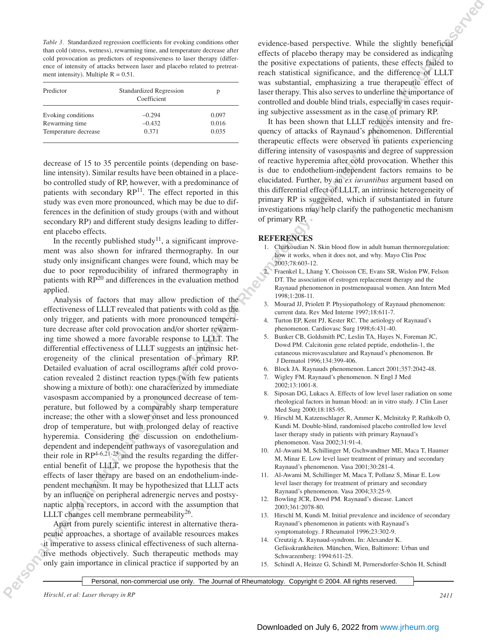*Table 3.* Standardized regression coefficients for evoking conditions other than cold (stress, wetness), rewarming time, and temperature decrease after cold provocation as predictors of responsiveness to laser therapy (difference of intensity of attacks between laser and placebo related to pretreatment intensity). Multiple  $R = 0.51$ .

| Predictor            | <b>Standardized Regression</b><br>Coefficient | p     |
|----------------------|-----------------------------------------------|-------|
| Evoking conditions   | $-0.294$                                      | 0.097 |
| Rewarming time       | $-0.432$                                      | 0.016 |
| Temperature decrease | 0.371                                         | 0.035 |

decrease of 15 to 35 percentile points (depending on baseline intensity). Similar results have been obtained in a placebo controlled study of RP, however, with a predominance of patients with secondary  $RP<sup>11</sup>$ . The effect reported in this study was even more pronounced, which may be due to differences in the definition of study groups (with and without secondary RP) and different study designs leading to different placebo effects.

In the recently published study<sup>11</sup>, a significant improvement was also shown for infrared thermography. In our study only insignificant changes were found, which may be due to poor reproducibility of infrared thermography in patients with RP<sup>20</sup> and differences in the evaluation method applied.

**Personal non-commercial interactions in the Scher Book Barnette While**  $\phi$  **Copyright Constrained Commercial Userved Constrained Commercial Userved Commercial Userved Commercial Userved Commercial Userved Commercial Userv** Analysis of factors that may allow prediction of the effectiveness of LLLT revealed that patients with cold as the only trigger, and patients with more pronounced temperature decrease after cold provocation and/or shorter rewarming time showed a more favorable response to LLLT. The differential effectiveness of LLLT suggests an intrinsic heterogeneity of the clinical presentation of primary RP. Detailed evaluation of acral oscillograms after cold provocation revealed 2 distinct reaction types (with few patients showing a mixture of both): one characterized by immediate vasospasm accompanied by a pronounced decrease of temperature, but followed by a comparably sharp temperature increase; the other with a slower onset and less pronounced drop of temperature, but with prolonged delay of reactive hyperemia. Considering the discussion on endotheliumdependent and independent pathways of vasoregulation and their role in  $RP^{4-6,21-25}$  and the results regarding the differential benefit of LLLT, we propose the hypothesis that the effects of laser therapy are based on an endothelium-independent mechanism. It may be hypothesized that LLLT acts by an influence on peripheral adrenergic nerves and postsynaptic alpha receptors, in accord with the assumption that LLLT changes cell membrane permeability $26$ .

Apart from purely scientific interest in alternative therapeutic approaches, a shortage of available resources makes it imperative to assess clinical effectiveness of such alternative methods objectively. Such therapeutic methods may only gain importance in clinical practice if supported by an evidence-based perspective. While the slightly beneficial effects of placebo therapy may be considered as indicating the positive expectations of patients, these effects failed to reach statistical significance, and the difference of LLLT was substantial, emphasizing a true therapeutic effect of laser therapy. This also serves to underline the importance of controlled and double blind trials, especially in cases requiring subjective assessment as in the case of primary RP.

It has been shown that LLLT reduces intensity and frequency of attacks of Raynaud's phenomenon. Differential therapeutic effects were observed in patients experiencing differing intensity of vasospasms and degree of suppression of reactive hyperemia after cold provocation. Whether this is due to endothelium-independent factors remains to be elucidated. Further, by an *ex iuvantibus* argument based on this differential effect of LLLT, an intrinsic heterogeneity of primary RP is suggested, which if substantiated in future investigations may help clarify the pathogenetic mechanism of primary RP.

## **REFERENCES**

- 1. Charkoudian N. Skin blood flow in adult human thermoregulation: how it works, when it does not, and why. Mayo Clin Proc 2003;78:603-12.
- 2. Fraenkel L, Lhang Y, Choisson CE, Evans SR, Wislon PW, Felson DT. The association of estrogen replacement therapy and the Raynaud phenomenon in postmenopausal women. Ann Intern Med 1998;1:208-11.
- 3. Mourad JJ, Priolett P. Physiopathology of Raynaud phenomenon: current data. Rev Med Interne 1997;18:611-7.
- 4. Turton EP, Kent PJ, Kester RC. The aetiology of Raynaud's phenomenon. Cardiovasc Surg 1998;6:431-40.
- 5. Bunker CB, Goldsmith PC, Leslin TA, Hayes N, Foreman JC, Dowd PM. Calcitonin gene related peptide, endothelin-1, the cutaneous microvasculature and Raynaud's phenomenon. Br J Dermatol 1996;134:399-406.
- 6. Block JA. Raynauds phenomenon. Lancet 2001;357:2042-48.
- 7. Wigley FM. Raynaud's phenomenon. N Engl J Med 2002;13:1001-8.
- 8. Siposan DG, Lukacs A. Effects of low level laser radiation on some rheological factors in human blood: an in vitro study. J Clin Laser Med Surg 2000;18:185-95.
- 9. Hirschl M, Katzenschlager R, Ammer K, Melnitzky P, Rathkolb O, Kundi M. Double-blind, randomised placebo controlled low level laser therapy study in patients with primary Raynaud's phenomenon. Vasa 2002;31:91-4.
- 10. Al-Awami M, Schillinger M, Gschwandtner ME, Maca T, Haumer M, Minar E. Low level laser treatment of primary and secondary Raynaud's phenomenon. Vasa 2001;30:281-4.
- 11. Al-Awami M, Schillinger M, Maca T, Pollanz S, Minar E. Low level laser therapy for treatment of primary and secondary Raynaud's phenomenon. Vasa 2004;33:25-9.
- 12. Bowling JCR, Dowd PM. Raynaud's disease. Lancet 2003;361:2078-80.
- 13. Hirschl M, Kundi M. Initial prevalence and incidence of secondary Raynaud's phenomenon in patients with Raynaud's symptomatology. J Rheumatol 1996;23:302-9.
- 14. Creutzig A. Raynaud-syndrom. In: Alexander K. Gefässkrankheiten. München, Wien, Baltimore: Urban und Schwarzenberg: 1994:611-25.
- 15. Schindl A, Heinze G, Schindl M, Pernersdorfer-Schön H, Schindl

Personal, non-commercial use only. The Journal of Rheumatology. Copyright © 2004. All rights reserved.